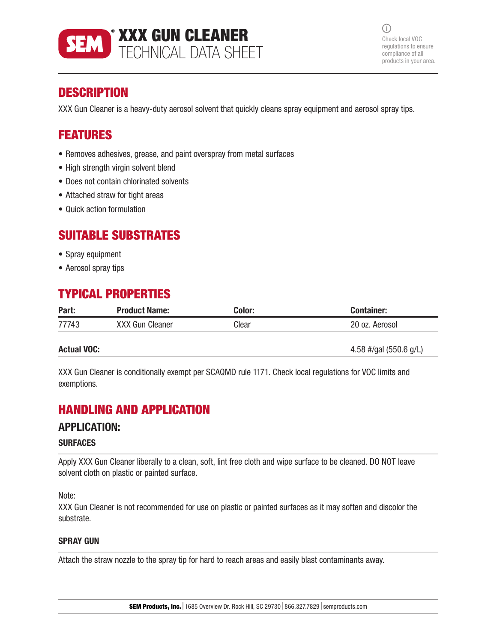

 $(i)$ Check local VOC regulations to ensure compliance of all products in your area.

# **DESCRIPTION**

XXX Gun Cleaner is a heavy-duty aerosol solvent that quickly cleans spray equipment and aerosol spray tips.

## FEATURES

- Removes adhesives, grease, and paint overspray from metal surfaces
- High strength virgin solvent blend
- Does not contain chlorinated solvents
- Attached straw for tight areas
- Quick action formulation

## SUITABLE SUBSTRATES

- Spray equipment
- Aerosol spray tips

# TYPICAL PROPERTIES

| Part: | <b>Product Name:</b>   | Color: | Container:     |
|-------|------------------------|--------|----------------|
| 77743 | <b>XXX Gun Cleaner</b> | Clear  | 20 oz. Aerosol |

**Actual VOC:** 4.58 #/gal (550.6 g/L)

XXX Gun Cleaner is conditionally exempt per SCAQMD rule 1171. Check local regulations for VOC limits and exemptions.

## HANDLING AND APPLICATION

## APPLICATION:

#### **SURFACES**

Apply XXX Gun Cleaner liberally to a clean, soft, lint free cloth and wipe surface to be cleaned. DO NOT leave solvent cloth on plastic or painted surface.

Note:

XXX Gun Cleaner is not recommended for use on plastic or painted surfaces as it may soften and discolor the substrate.

### SPRAY GUN

Attach the straw nozzle to the spray tip for hard to reach areas and easily blast contaminants away.